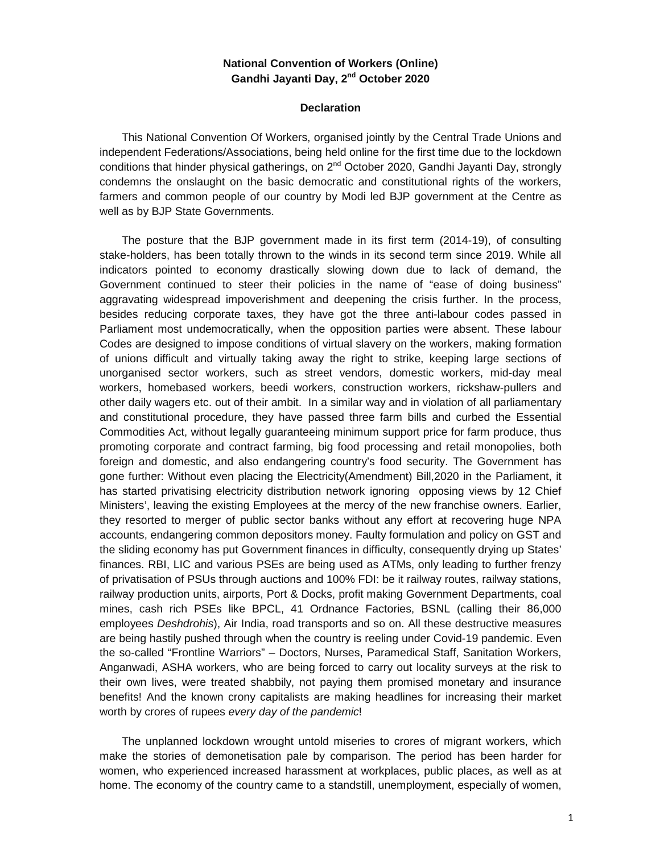## **National Convention of Workers (Online) Gandhi Jayanti Day, 2 nd October 2020**

## **Declaration**

This National Convention Of Workers, organised jointly by the Central Trade Unions and independent Federations/Associations, being held online for the first time due to the lockdown conditions that hinder physical gatherings, on  $2^{nd}$  October 2020, Gandhi Jayanti Day, strongly condemns the onslaught on the basic democratic and constitutional rights of the workers, farmers and common people of our country by Modi led BJP government at the Centre as well as by BJP State Governments.

The posture that the BJP government made in its first term (2014-19), of consulting stake-holders, has been totally thrown to the winds in its second term since 2019. While all indicators pointed to economy drastically slowing down due to lack of demand, the Government continued to steer their policies in the name of "ease of doing business" aggravating widespread impoverishment and deepening the crisis further. In the process, besides reducing corporate taxes, they have got the three anti-labour codes passed in Parliament most undemocratically, when the opposition parties were absent. These labour Codes are designed to impose conditions of virtual slavery on the workers, making formation of unions difficult and virtually taking away the right to strike, keeping large sections of unorganised sector workers, such as street vendors, domestic workers, mid-day meal workers, homebased workers, beedi workers, construction workers, rickshaw-pullers and other daily wagers etc. out of their ambit. In a similar way and in violation of all parliamentary and constitutional procedure, they have passed three farm bills and curbed the Essential Commodities Act, without legally guaranteeing minimum support price for farm produce, thus promoting corporate and contract farming, big food processing and retail monopolies, both foreign and domestic, and also endangering country's food security. The Government has gone further: Without even placing the Electricity(Amendment) Bill,2020 in the Parliament, it has started privatising electricity distribution network ignoring opposing views by 12 Chief Ministers', leaving the existing Employees at the mercy of the new franchise owners. Earlier, they resorted to merger of public sector banks without any effort at recovering huge NPA accounts, endangering common depositors money. Faulty formulation and policy on GST and the sliding economy has put Government finances in difficulty, consequently drying up States' finances. RBI, LIC and various PSEs are being used as ATMs, only leading to further frenzy of privatisation of PSUs through auctions and 100% FDI: be it railway routes, railway stations, railway production units, airports, Port & Docks, profit making Government Departments, coal mines, cash rich PSEs like BPCL, 41 Ordnance Factories, BSNL (calling their 86,000 employees *Deshdrohis*), Air India, road transports and so on. All these destructive measures are being hastily pushed through when the country is reeling under Covid-19 pandemic. Even the so-called "Frontline Warriors" – Doctors, Nurses, Paramedical Staff, Sanitation Workers, Anganwadi, ASHA workers, who are being forced to carry out locality surveys at the risk to their own lives, were treated shabbily, not paying them promised monetary and insurance benefits! And the known crony capitalists are making headlines for increasing their market worth by crores of rupees *every day of the pandemic*!

The unplanned lockdown wrought untold miseries to crores of migrant workers, which make the stories of demonetisation pale by comparison. The period has been harder for women, who experienced increased harassment at workplaces, public places, as well as at home. The economy of the country came to a standstill, unemployment, especially of women,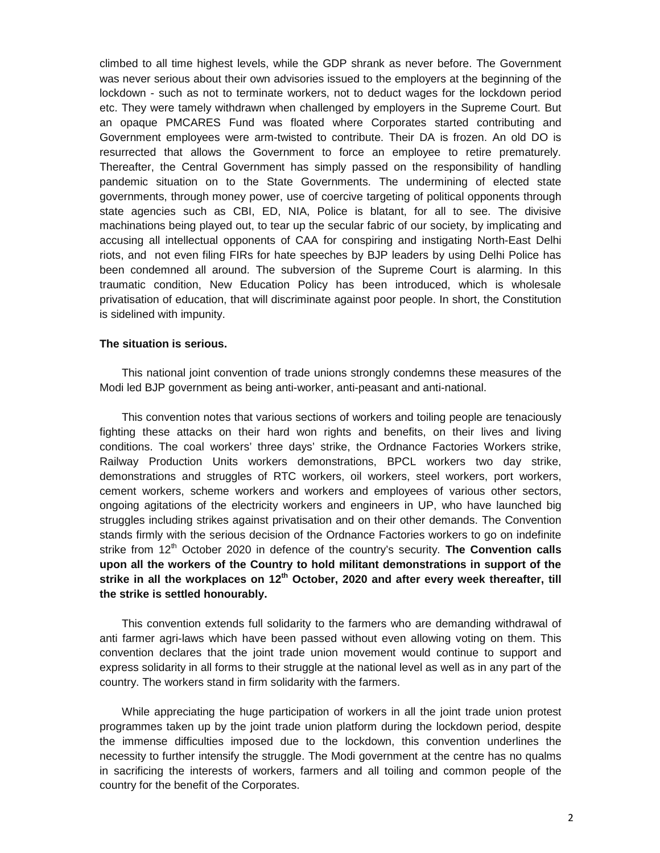climbed to all time highest levels, while the GDP shrank as never before. The Government was never serious about their own advisories issued to the employers at the beginning of the lockdown - such as not to terminate workers, not to deduct wages for the lockdown period etc. They were tamely withdrawn when challenged by employers in the Supreme Court. But an opaque PMCARES Fund was floated where Corporates started contributing and Government employees were arm-twisted to contribute. Their DA is frozen. An old DO is resurrected that allows the Government to force an employee to retire prematurely. Thereafter, the Central Government has simply passed on the responsibility of handling pandemic situation on to the State Governments. The undermining of elected state governments, through money power, use of coercive targeting of political opponents through state agencies such as CBI, ED, NIA, Police is blatant, for all to see. The divisive machinations being played out, to tear up the secular fabric of our society, by implicating and accusing all intellectual opponents of CAA for conspiring and instigating North-East Delhi riots, and not even filing FIRs for hate speeches by BJP leaders by using Delhi Police has been condemned all around. The subversion of the Supreme Court is alarming. In this traumatic condition, New Education Policy has been introduced, which is wholesale privatisation of education, that will discriminate against poor people. In short, the Constitution is sidelined with impunity.

## **The situation is serious.**

This national joint convention of trade unions strongly condemns these measures of the Modi led BJP government as being anti-worker, anti-peasant and anti-national.

This convention notes that various sections of workers and toiling people are tenaciously fighting these attacks on their hard won rights and benefits, on their lives and living conditions. The coal workers' three days' strike, the Ordnance Factories Workers strike, Railway Production Units workers demonstrations, BPCL workers two day strike, demonstrations and struggles of RTC workers, oil workers, steel workers, port workers, cement workers, scheme workers and workers and employees of various other sectors, ongoing agitations of the electricity workers and engineers in UP, who have launched big struggles including strikes against privatisation and on their other demands. The Convention stands firmly with the serious decision of the Ordnance Factories workers to go on indefinite strike from 12<sup>th</sup> October 2020 in defence of the country's security. **The Convention calls upon all the workers of the Country to hold militant demonstrations in support of the strike in all the workplaces on 12th October, 2020 and after every week thereafter, till the strike is settled honourably.**

This convention extends full solidarity to the farmers who are demanding withdrawal of anti farmer agri-laws which have been passed without even allowing voting on them. This convention declares that the joint trade union movement would continue to support and express solidarity in all forms to their struggle at the national level as well as in any part of the country. The workers stand in firm solidarity with the farmers.

While appreciating the huge participation of workers in all the joint trade union protest programmes taken up by the joint trade union platform during the lockdown period, despite the immense difficulties imposed due to the lockdown, this convention underlines the necessity to further intensify the struggle. The Modi government at the centre has no qualms in sacrificing the interests of workers, farmers and all toiling and common people of the country for the benefit of the Corporates.